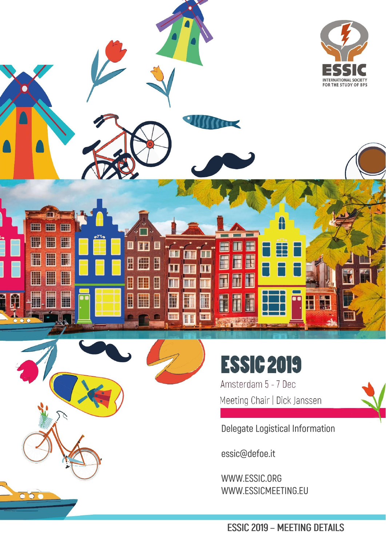



Amsterdam 5 - 7 Dec Meeting Chair | Dick Janssen



essic@defoe.it

 $\overline{\bullet}\,\overline{\bullet}$ 

WWW.ESSIC.ORG WWW.ESSICMEETING.EU

**ESSIC 2019 - MEETING DETAILS**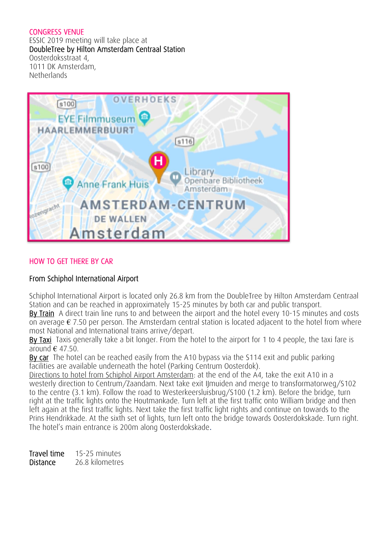## CONGRESS VENUE

ESSIC 2019 meeting will take place at DoubleTree by Hilton Amsterdam Centraal Station Oosterdoksstraat 4, 1011 DK Amsterdam, **Netherlands** 



## HOW TO GET THERE BY CAR

# From Schiphol International Airport

Schiphol International Airport is located only 26.8 km from the DoubleTree by Hilton Amsterdam Centraal Station and can be reached in approximately 15-25 minutes by both car and public transport.

By Train A direct train line runs to and between the airport and the hotel every 10-15 minutes and costs on average  $\epsilon$  7.50 per person. The Amsterdam central station is located adjacent to the hotel from where most National and International trains arrive/depart.

By Taxi Taxis generally take a bit longer. From the hotel to the airport for 1 to 4 people, the taxi fare is around  $\epsilon$  47.50.

By car The hotel can be reached easily from the A10 bypass via the S114 exit and public parking facilities are available underneath the hotel (Parking Centrum Oosterdok).

Directions to hotel from Schiphol Airport Amsterdam: at the end of the A4, take the exit A10 in a westerly direction to Centrum/Zaandam. Next take exit IJmuiden and merge to transformatorweg/S102 to the centre (3.1 km). Follow the road to Westerkeersluisbrug/S100 (1.2 km). Before the bridge, turn right at the traffic lights onto the Houtmankade. Turn left at the first traffic onto William bridge and then left again at the first traffic lights. Next take the first traffic light rights and continue on towards to the Prins Hendrikkade. At the sixth set of lights, turn left onto the bridge towards Oosterdokskade. Turn right. The hotel's main entrance is 200m along Oosterdokskade.

Travel time 15-25 minutes Distance 26.8 kilometres